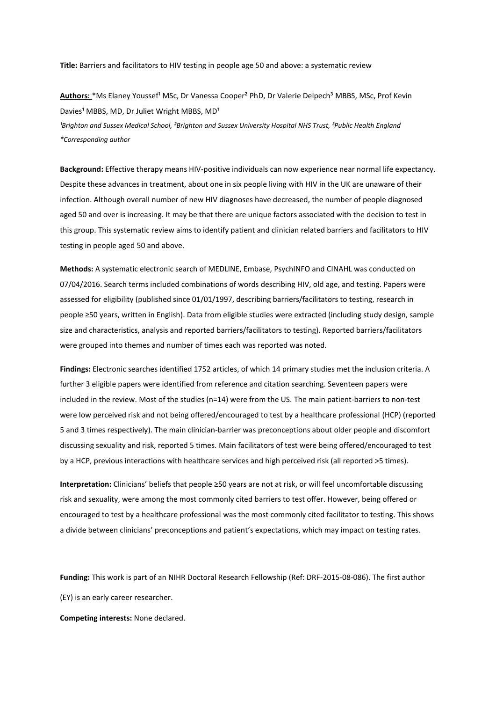**Title:** Barriers and facilitators to HIV testing in people age 50 and above: a systematic review

Authors: \*Ms Elaney Youssef<sup>1</sup> MSc, Dr Vanessa Cooper<sup>2</sup> PhD, Dr Valerie Delpech<sup>3</sup> MBBS, MSc, Prof Kevin Davies<sup>1</sup> MBBS, MD, Dr Juliet Wright MBBS, MD<sup>1</sup> *¹Brighton and Sussex Medical School, ²Brighton and Sussex University Hospital NHS Trust, ³Public Health England \*Corresponding author*

**Background:** Effective therapy means HIV-positive individuals can now experience near normal life expectancy. Despite these advances in treatment, about one in six people living with HIV in the UK are unaware of their infection. Although overall number of new HIV diagnoses have decreased, the number of people diagnosed aged 50 and over is increasing. It may be that there are unique factors associated with the decision to test in this group. This systematic review aims to identify patient and clinician related barriers and facilitators to HIV testing in people aged 50 and above.

**Methods:** A systematic electronic search of MEDLINE, Embase, PsychINFO and CINAHL was conducted on 07/04/2016. Search terms included combinations of words describing HIV, old age, and testing. Papers were assessed for eligibility (published since 01/01/1997, describing barriers/facilitators to testing, research in people ≥50 years, written in English). Data from eligible studies were extracted (including study design, sample size and characteristics, analysis and reported barriers/facilitators to testing). Reported barriers/facilitators were grouped into themes and number of times each was reported was noted.

**Findings:** Electronic searches identified 1752 articles, of which 14 primary studies met the inclusion criteria. A further 3 eligible papers were identified from reference and citation searching. Seventeen papers were included in the review. Most of the studies (n=14) were from the US. The main patient-barriers to non-test were low perceived risk and not being offered/encouraged to test by a healthcare professional (HCP) (reported 5 and 3 times respectively). The main clinician-barrier was preconceptions about older people and discomfort discussing sexuality and risk, reported 5 times. Main facilitators of test were being offered/encouraged to test by a HCP, previous interactions with healthcare services and high perceived risk (all reported >5 times).

**Interpretation:** Clinicians' beliefs that people ≥50 years are not at risk, or will feel uncomfortable discussing risk and sexuality, were among the most commonly cited barriers to test offer. However, being offered or encouraged to test by a healthcare professional was the most commonly cited facilitator to testing. This shows a divide between clinicians' preconceptions and patient's expectations, which may impact on testing rates.

**Funding:** This work is part of an NIHR Doctoral Research Fellowship (Ref: DRF-2015-08-086). The first author (EY) is an early career researcher.

**Competing interests:** None declared.